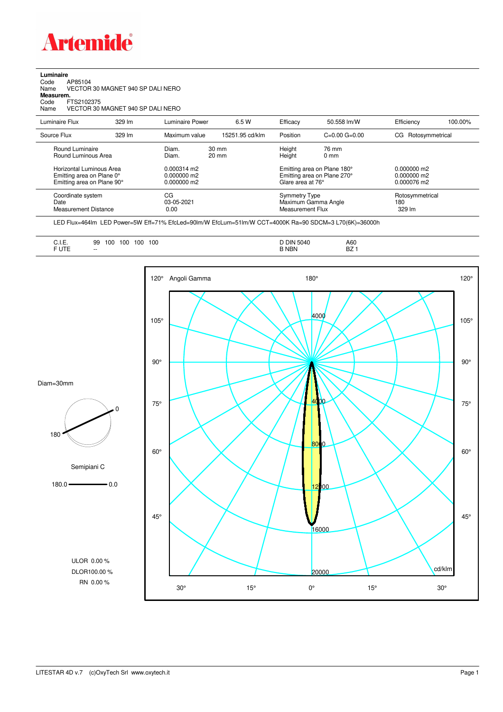

**Luminaire**<br>Code /<br>Name \ Code AP85104 Name VECTOR 30 MAGNET 940 SP DALI NERO **Measurem.** Code FTS2102375 Name VECTOR 30 MAGNET 940 SP DALI NERO

| Luminaire Flux                                                                      | 329 lm | Luminaire Power                                        | 6.5 W                              | Efficacy                          | 50.558 lm/W                                                                     | Efficiency                       | 100.00% |
|-------------------------------------------------------------------------------------|--------|--------------------------------------------------------|------------------------------------|-----------------------------------|---------------------------------------------------------------------------------|----------------------------------|---------|
| Source Flux                                                                         | 329 lm | Maximum value                                          | 15251.95 cd/klm                    | Position                          | $C=0.00$ $G=0.00$                                                               | CG Rotosymmetrical               |         |
| Round Luminaire<br>Round Luminous Area                                              |        | Diam.<br>Diam.                                         | $30 \text{ mm}$<br>$20 \text{ mm}$ | Height<br>Height                  | 76 mm<br>$0 \text{ mm}$                                                         |                                  |         |
| Horizontal Luminous Area<br>Emitting area on Plane 0°<br>Emitting area on Plane 90° |        | $0.000314 \text{ m}$<br>$0.000000$ m2<br>$0.000000$ m2 |                                    |                                   | Emitting area on Plane 180°<br>Emitting area on Plane 270°<br>Glare area at 76° |                                  |         |
| Coordinate system<br>Date<br><b>Measurement Distance</b>                            |        | CG<br>03-05-2021<br>0.00                               |                                    | Symmetry Type<br>Measurement Flux | Maximum Gamma Angle                                                             | Rotosymmetrical<br>180<br>329 lm |         |

LED Flux=464lm LED Power=5W Eff=71% EfcLed=90lm/W EfcLum=51lm/W CCT=4000K Ra=90 SDCM=3 L70(6K)=36000h